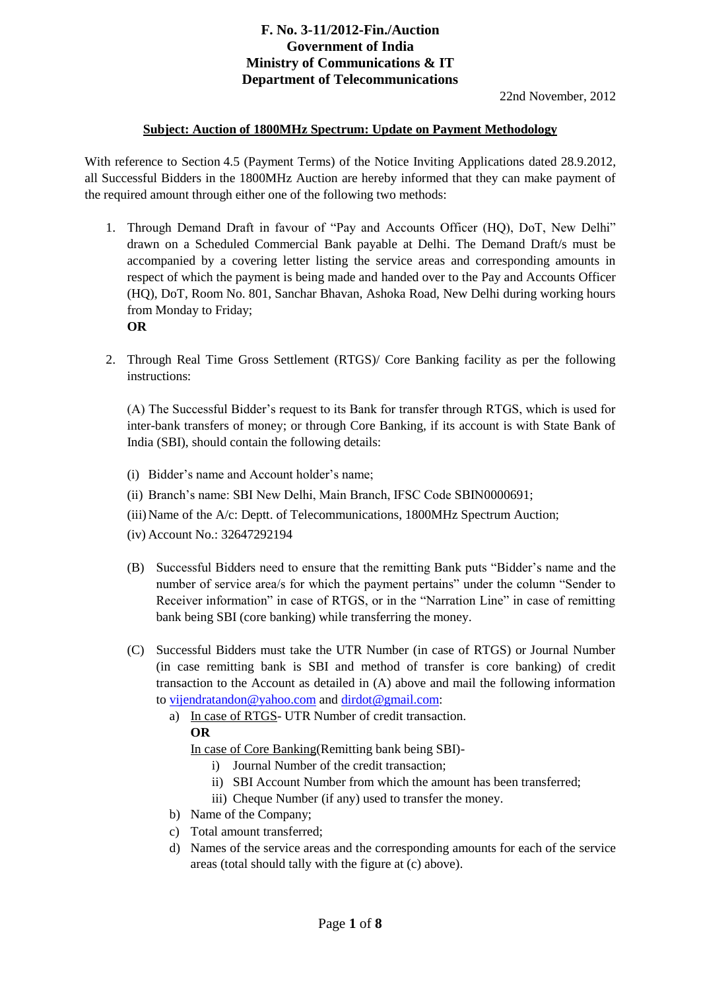## **F. No. 3-11/2012-Fin./Auction Government of India Ministry of Communications & IT Department of Telecommunications**

#### **Subject: Auction of 1800MHz Spectrum: Update on Payment Methodology**

With reference to Section 4.5 (Payment Terms) of the Notice Inviting Applications dated 28.9.2012, all Successful Bidders in the 1800MHz Auction are hereby informed that they can make payment of the required amount through either one of the following two methods:

- 1. Through Demand Draft in favour of "Pay and Accounts Officer (HQ), DoT, New Delhi" drawn on a Scheduled Commercial Bank payable at Delhi. The Demand Draft/s must be accompanied by a covering letter listing the service areas and corresponding amounts in respect of which the payment is being made and handed over to the Pay and Accounts Officer (HQ), DoT, Room No. 801, Sanchar Bhavan, Ashoka Road, New Delhi during working hours from Monday to Friday; **OR**
- 2. Through Real Time Gross Settlement (RTGS)/ Core Banking facility as per the following instructions:

(A) The Successful Bidder's request to its Bank for transfer through RTGS, which is used for inter-bank transfers of money; or through Core Banking, if its account is with State Bank of India (SBI), should contain the following details:

- (i) Bidder's name and Account holder's name;
- (ii) Branch's name: SBI New Delhi, Main Branch, IFSC Code SBIN0000691;
- (iii)Name of the A/c: Deptt. of Telecommunications, 1800MHz Spectrum Auction;
- (iv) Account No.: 32647292194
- (B) Successful Bidders need to ensure that the remitting Bank puts "Bidder's name and the number of service area/s for which the payment pertains" under the column "Sender to Receiver information" in case of RTGS, or in the "Narration Line" in case of remitting bank being SBI (core banking) while transferring the money.
- (C) Successful Bidders must take the UTR Number (in case of RTGS) or Journal Number (in case remitting bank is SBI and method of transfer is core banking) of credit transaction to the Account as detailed in (A) above and mail the following information to [vijendratandon@yahoo.com](mailto:vijendratandon@yahoo.com) and [dirdot@gmail.com:](mailto:dirdot@gmail.com)
	- a) In case of RTGS- UTR Number of credit transaction. **OR**

In case of Core Banking(Remitting bank being SBI)-

- i) Journal Number of the credit transaction;
- ii) SBI Account Number from which the amount has been transferred;
- iii) Cheque Number (if any) used to transfer the money.
- b) Name of the Company;
- c) Total amount transferred;
- d) Names of the service areas and the corresponding amounts for each of the service areas (total should tally with the figure at (c) above).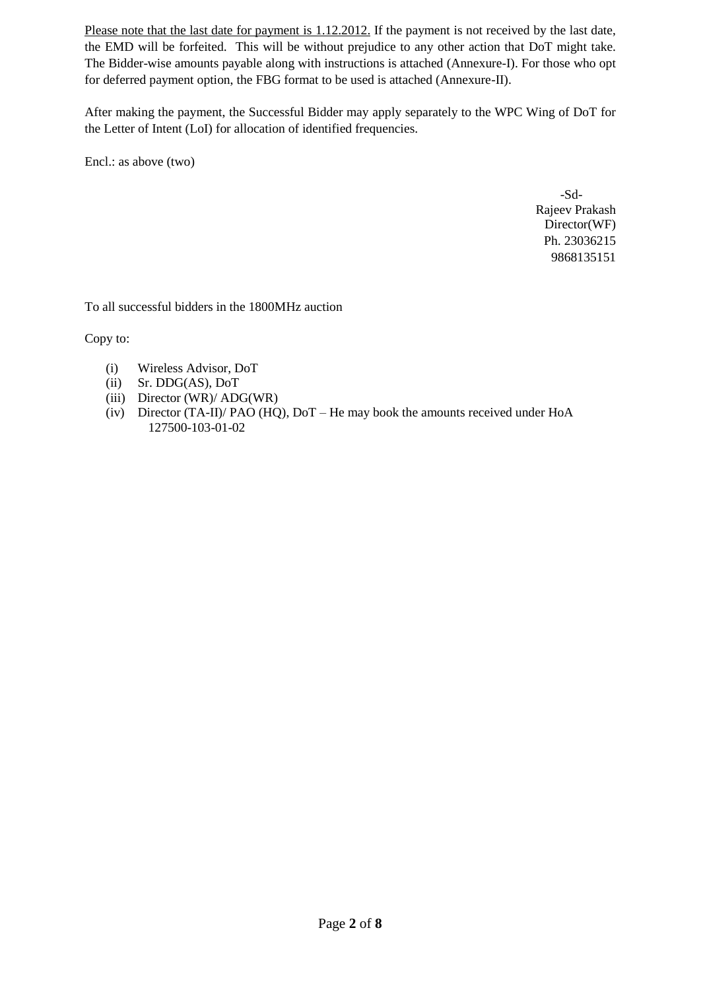Please note that the last date for payment is 1.12.2012. If the payment is not received by the last date, the EMD will be forfeited. This will be without prejudice to any other action that DoT might take. The Bidder-wise amounts payable along with instructions is attached (Annexure-I). For those who opt for deferred payment option, the FBG format to be used is attached (Annexure-II).

After making the payment, the Successful Bidder may apply separately to the WPC Wing of DoT for the Letter of Intent (LoI) for allocation of identified frequencies.

Encl.: as above (two)

 -Sd-Rajeev Prakash Director(WF) Ph. 23036215 9868135151

To all successful bidders in the 1800MHz auction

Copy to:

- (i) Wireless Advisor, DoT
- (ii) Sr. DDG(AS), DoT
- (iii) Director (WR)/ ADG(WR)
- (iv) Director (TA-II)/ PAO (HQ), DoT He may book the amounts received under HoA 127500-103-01-02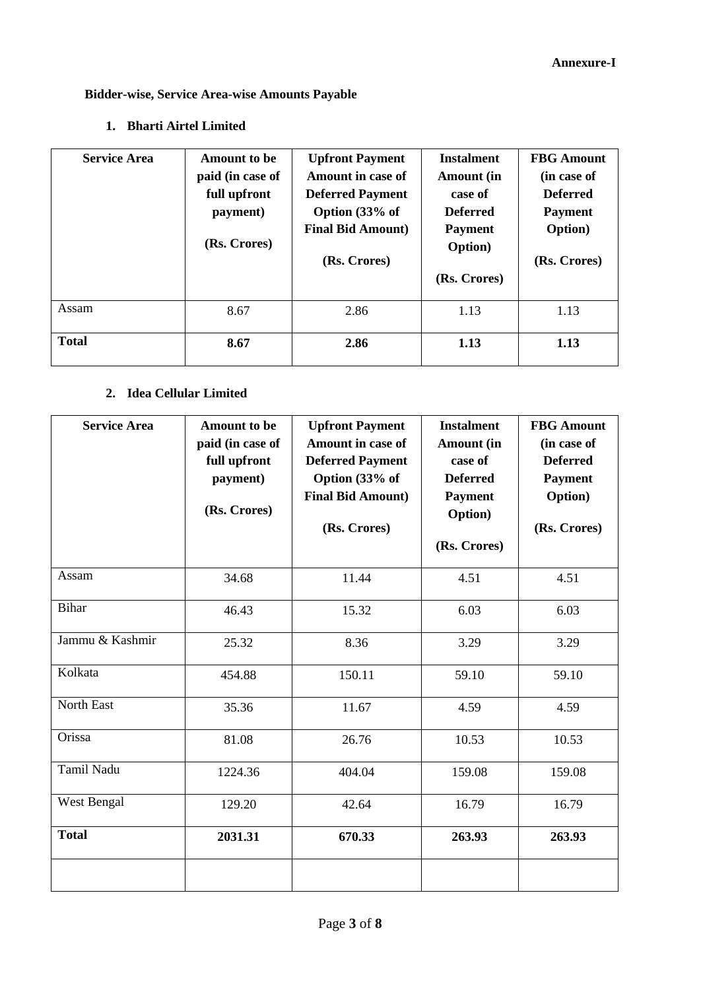# **Bidder-wise, Service Area-wise Amounts Payable**

# **1. Bharti Airtel Limited**

| <b>Service Area</b> | <b>Amount to be</b><br>paid (in case of<br>full upfront<br>payment)<br>(Rs. Crores) | <b>Upfront Payment</b><br>Amount in case of<br><b>Deferred Payment</b><br>Option (33% of<br><b>Final Bid Amount</b> )<br>(Rs. Crores) | <b>Instalment</b><br>Amount (in<br>case of<br><b>Deferred</b><br><b>Payment</b><br><b>Option</b> )<br>(Rs. Crores) | <b>FBG</b> Amount<br>(in case of<br><b>Deferred</b><br><b>Payment</b><br><b>Option</b> )<br>(Rs. Crores) |
|---------------------|-------------------------------------------------------------------------------------|---------------------------------------------------------------------------------------------------------------------------------------|--------------------------------------------------------------------------------------------------------------------|----------------------------------------------------------------------------------------------------------|
| Assam               | 8.67                                                                                | 2.86                                                                                                                                  | 1.13                                                                                                               | 1.13                                                                                                     |
| <b>Total</b>        | 8.67                                                                                | 2.86                                                                                                                                  | 1.13                                                                                                               | 1.13                                                                                                     |

#### **2. Idea Cellular Limited**

| <b>Service Area</b> | <b>Amount to be</b><br>paid (in case of<br>full upfront<br>payment)<br>(Rs. Crores) | <b>Upfront Payment</b><br><b>Amount in case of</b><br><b>Deferred Payment</b><br>Option (33% of<br><b>Final Bid Amount)</b><br>(Rs. Crores) | <b>Instalment</b><br>Amount (in<br>case of<br><b>Deferred</b><br><b>Payment</b><br>Option)<br>(Rs. Crores) | <b>FBG</b> Amount<br>(in case of<br><b>Deferred</b><br><b>Payment</b><br><b>Option</b> )<br>(Rs. Crores) |
|---------------------|-------------------------------------------------------------------------------------|---------------------------------------------------------------------------------------------------------------------------------------------|------------------------------------------------------------------------------------------------------------|----------------------------------------------------------------------------------------------------------|
| Assam               | 34.68                                                                               | 11.44                                                                                                                                       | 4.51                                                                                                       | 4.51                                                                                                     |
| <b>Bihar</b>        | 46.43                                                                               | 15.32                                                                                                                                       | 6.03                                                                                                       | 6.03                                                                                                     |
| Jammu & Kashmir     | 25.32                                                                               | 8.36                                                                                                                                        | 3.29                                                                                                       | 3.29                                                                                                     |
| Kolkata             | 454.88                                                                              | 150.11                                                                                                                                      | 59.10                                                                                                      | 59.10                                                                                                    |
| North East          | 35.36                                                                               | 11.67                                                                                                                                       | 4.59                                                                                                       | 4.59                                                                                                     |
| Orissa              | 81.08                                                                               | 26.76                                                                                                                                       | 10.53                                                                                                      | 10.53                                                                                                    |
| Tamil Nadu          | 1224.36                                                                             | 404.04                                                                                                                                      | 159.08                                                                                                     | 159.08                                                                                                   |
| West Bengal         | 129.20                                                                              | 42.64                                                                                                                                       | 16.79                                                                                                      | 16.79                                                                                                    |
| <b>Total</b>        | 2031.31                                                                             | 670.33                                                                                                                                      | 263.93                                                                                                     | 263.93                                                                                                   |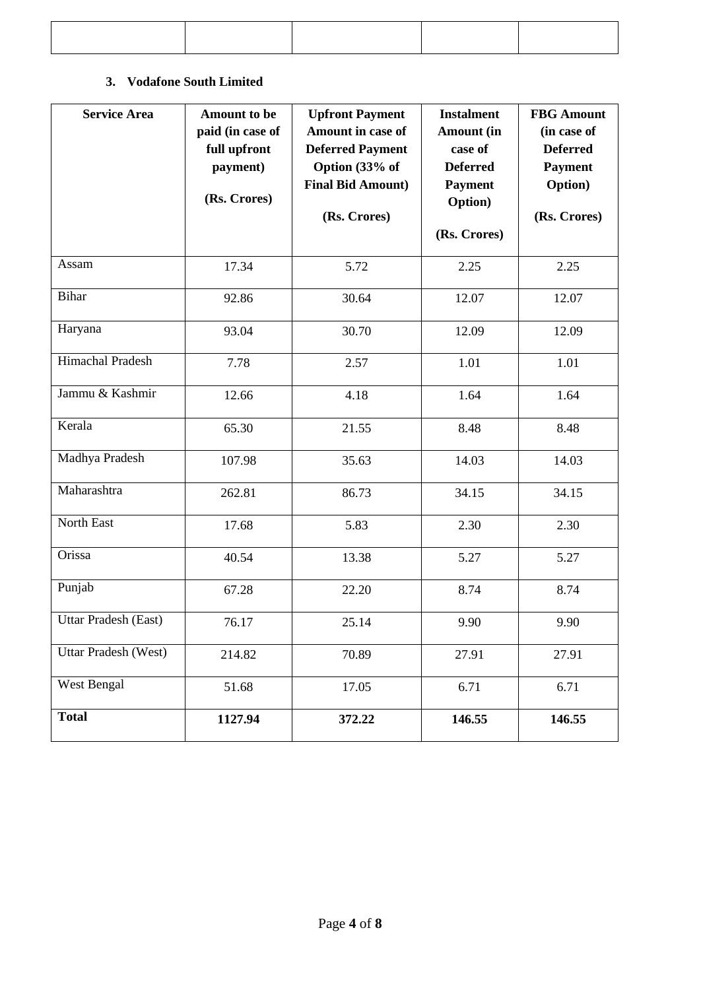## **3. Vodafone South Limited**

| <b>Service Area</b>     | <b>Amount to be</b><br>paid (in case of<br>full upfront<br>payment)<br>(Rs. Crores) | <b>Upfront Payment</b><br>Amount in case of<br><b>Deferred Payment</b><br>Option (33% of<br><b>Final Bid Amount)</b><br>(Rs. Crores) | <b>Instalment</b><br><b>Amount</b> (in<br>case of<br><b>Deferred</b><br><b>Payment</b><br>Option)<br>(Rs. Crores) | <b>FBG</b> Amount<br>(in case of<br><b>Deferred</b><br><b>Payment</b><br><b>Option</b> )<br>(Rs. Crores) |
|-------------------------|-------------------------------------------------------------------------------------|--------------------------------------------------------------------------------------------------------------------------------------|-------------------------------------------------------------------------------------------------------------------|----------------------------------------------------------------------------------------------------------|
| Assam                   | 17.34                                                                               | 5.72                                                                                                                                 | 2.25                                                                                                              | 2.25                                                                                                     |
| <b>Bihar</b>            | 92.86                                                                               | 30.64                                                                                                                                | 12.07                                                                                                             | 12.07                                                                                                    |
| Haryana                 | 93.04                                                                               | 30.70                                                                                                                                | 12.09                                                                                                             | 12.09                                                                                                    |
| <b>Himachal Pradesh</b> | 7.78                                                                                | 2.57                                                                                                                                 | 1.01                                                                                                              | 1.01                                                                                                     |
| Jammu & Kashmir         | 12.66                                                                               | 4.18                                                                                                                                 | 1.64                                                                                                              | 1.64                                                                                                     |
| Kerala                  | 65.30                                                                               | 21.55                                                                                                                                | 8.48                                                                                                              | 8.48                                                                                                     |
| Madhya Pradesh          | 107.98                                                                              | 35.63                                                                                                                                | 14.03                                                                                                             | 14.03                                                                                                    |
| Maharashtra             | 262.81                                                                              | 86.73                                                                                                                                | 34.15                                                                                                             | 34.15                                                                                                    |
| North East              | 17.68                                                                               | 5.83                                                                                                                                 | 2.30                                                                                                              | 2.30                                                                                                     |
| Orissa                  | 40.54                                                                               | 13.38                                                                                                                                | 5.27                                                                                                              | 5.27                                                                                                     |
| Punjab                  | 67.28                                                                               | 22.20                                                                                                                                | 8.74                                                                                                              | 8.74                                                                                                     |
| Uttar Pradesh (East)    | 76.17                                                                               | 25.14                                                                                                                                | 9.90                                                                                                              | 9.90                                                                                                     |
| Uttar Pradesh (West)    | 214.82                                                                              | 70.89                                                                                                                                | 27.91                                                                                                             | 27.91                                                                                                    |
| West Bengal             | 51.68                                                                               | 17.05                                                                                                                                | 6.71                                                                                                              | 6.71                                                                                                     |
| <b>Total</b>            | 1127.94                                                                             | 372.22                                                                                                                               | 146.55                                                                                                            | 146.55                                                                                                   |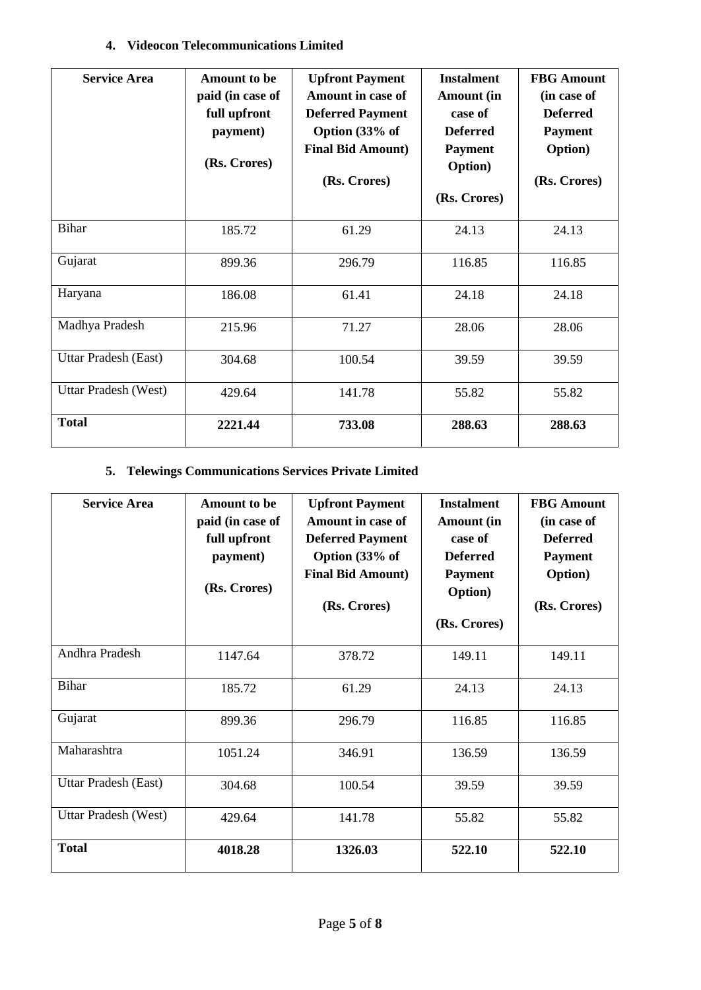## **4. Videocon Telecommunications Limited**

| <b>Service Area</b>  | <b>Amount to be</b><br>paid (in case of<br>full upfront<br>payment)<br>(Rs. Crores) | <b>Upfront Payment</b><br>Amount in case of<br><b>Deferred Payment</b><br>Option (33% of<br><b>Final Bid Amount)</b><br>(Rs. Crores) | <b>Instalment</b><br><b>Amount</b> (in<br>case of<br><b>Deferred</b><br><b>Payment</b><br><b>Option</b> )<br>(Rs. Crores) | <b>FBG</b> Amount<br>(in case of<br><b>Deferred</b><br><b>Payment</b><br><b>Option</b> )<br>(Rs. Crores) |
|----------------------|-------------------------------------------------------------------------------------|--------------------------------------------------------------------------------------------------------------------------------------|---------------------------------------------------------------------------------------------------------------------------|----------------------------------------------------------------------------------------------------------|
| <b>Bihar</b>         | 185.72                                                                              | 61.29                                                                                                                                | 24.13                                                                                                                     | 24.13                                                                                                    |
| Gujarat              | 899.36                                                                              | 296.79                                                                                                                               | 116.85                                                                                                                    | 116.85                                                                                                   |
| Haryana              | 186.08                                                                              | 61.41                                                                                                                                | 24.18                                                                                                                     | 24.18                                                                                                    |
| Madhya Pradesh       | 215.96                                                                              | 71.27                                                                                                                                | 28.06                                                                                                                     | 28.06                                                                                                    |
| Uttar Pradesh (East) | 304.68                                                                              | 100.54                                                                                                                               | 39.59                                                                                                                     | 39.59                                                                                                    |
| Uttar Pradesh (West) | 429.64                                                                              | 141.78                                                                                                                               | 55.82                                                                                                                     | 55.82                                                                                                    |
| <b>Total</b>         | 2221.44                                                                             | 733.08                                                                                                                               | 288.63                                                                                                                    | 288.63                                                                                                   |

## **5. Telewings Communications Services Private Limited**

| <b>Service Area</b>  | Amount to be<br>paid (in case of<br>full upfront<br>payment)<br>(Rs. Crores) | <b>Upfront Payment</b><br><b>Amount in case of</b><br><b>Deferred Payment</b><br>Option (33% of<br><b>Final Bid Amount)</b><br>(Rs. Crores) | <b>Instalment</b><br><b>Amount</b> (in<br>case of<br><b>Deferred</b><br><b>Payment</b><br><b>Option</b> )<br>(Rs. Crores) | <b>FBG</b> Amount<br>(in case of<br><b>Deferred</b><br><b>Payment</b><br><b>Option</b> )<br>(Rs. Crores) |
|----------------------|------------------------------------------------------------------------------|---------------------------------------------------------------------------------------------------------------------------------------------|---------------------------------------------------------------------------------------------------------------------------|----------------------------------------------------------------------------------------------------------|
| Andhra Pradesh       | 1147.64                                                                      | 378.72                                                                                                                                      | 149.11                                                                                                                    | 149.11                                                                                                   |
| <b>Bihar</b>         | 185.72                                                                       | 61.29                                                                                                                                       | 24.13                                                                                                                     | 24.13                                                                                                    |
| Gujarat              | 899.36                                                                       | 296.79                                                                                                                                      | 116.85                                                                                                                    | 116.85                                                                                                   |
| Maharashtra          | 1051.24                                                                      | 346.91                                                                                                                                      | 136.59                                                                                                                    | 136.59                                                                                                   |
| Uttar Pradesh (East) | 304.68                                                                       | 100.54                                                                                                                                      | 39.59                                                                                                                     | 39.59                                                                                                    |
| Uttar Pradesh (West) | 429.64                                                                       | 141.78                                                                                                                                      | 55.82                                                                                                                     | 55.82                                                                                                    |
| <b>Total</b>         | 4018.28                                                                      | 1326.03                                                                                                                                     | 522.10                                                                                                                    | 522.10                                                                                                   |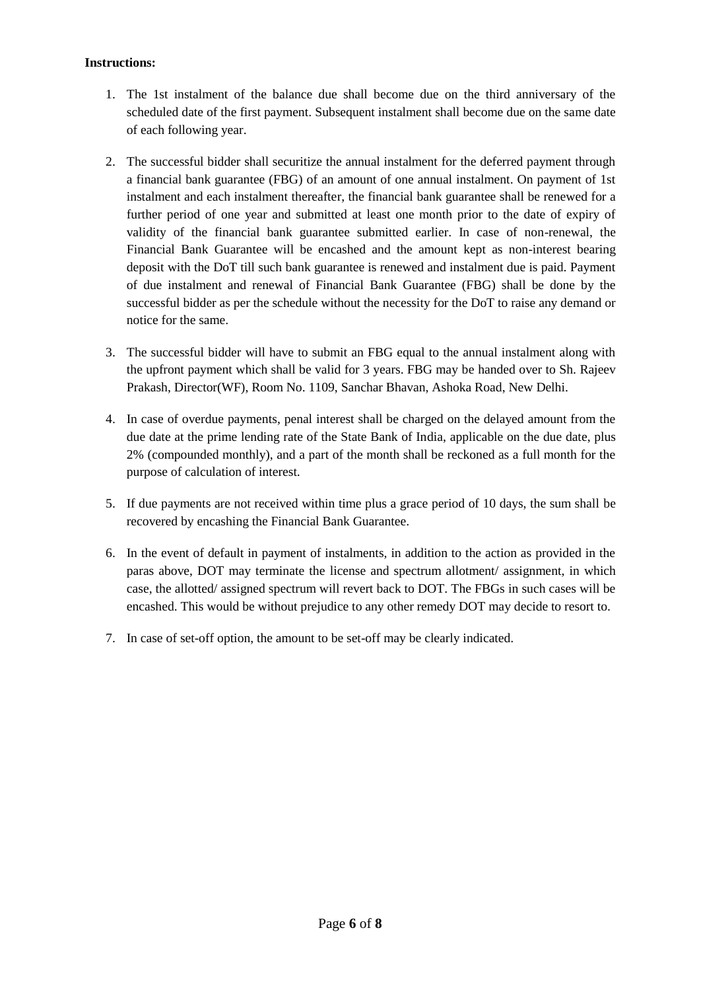#### **Instructions:**

- 1. The 1st instalment of the balance due shall become due on the third anniversary of the scheduled date of the first payment. Subsequent instalment shall become due on the same date of each following year.
- 2. The successful bidder shall securitize the annual instalment for the deferred payment through a financial bank guarantee (FBG) of an amount of one annual instalment. On payment of 1st instalment and each instalment thereafter, the financial bank guarantee shall be renewed for a further period of one year and submitted at least one month prior to the date of expiry of validity of the financial bank guarantee submitted earlier. In case of non-renewal, the Financial Bank Guarantee will be encashed and the amount kept as non-interest bearing deposit with the DoT till such bank guarantee is renewed and instalment due is paid. Payment of due instalment and renewal of Financial Bank Guarantee (FBG) shall be done by the successful bidder as per the schedule without the necessity for the DoT to raise any demand or notice for the same.
- 3. The successful bidder will have to submit an FBG equal to the annual instalment along with the upfront payment which shall be valid for 3 years. FBG may be handed over to Sh. Rajeev Prakash, Director(WF), Room No. 1109, Sanchar Bhavan, Ashoka Road, New Delhi.
- 4. In case of overdue payments, penal interest shall be charged on the delayed amount from the due date at the prime lending rate of the State Bank of India, applicable on the due date, plus 2% (compounded monthly), and a part of the month shall be reckoned as a full month for the purpose of calculation of interest.
- 5. If due payments are not received within time plus a grace period of 10 days, the sum shall be recovered by encashing the Financial Bank Guarantee.
- 6. In the event of default in payment of instalments, in addition to the action as provided in the paras above, DOT may terminate the license and spectrum allotment/ assignment, in which case, the allotted/ assigned spectrum will revert back to DOT. The FBGs in such cases will be encashed. This would be without prejudice to any other remedy DOT may decide to resort to.
- 7. In case of set-off option, the amount to be set-off may be clearly indicated.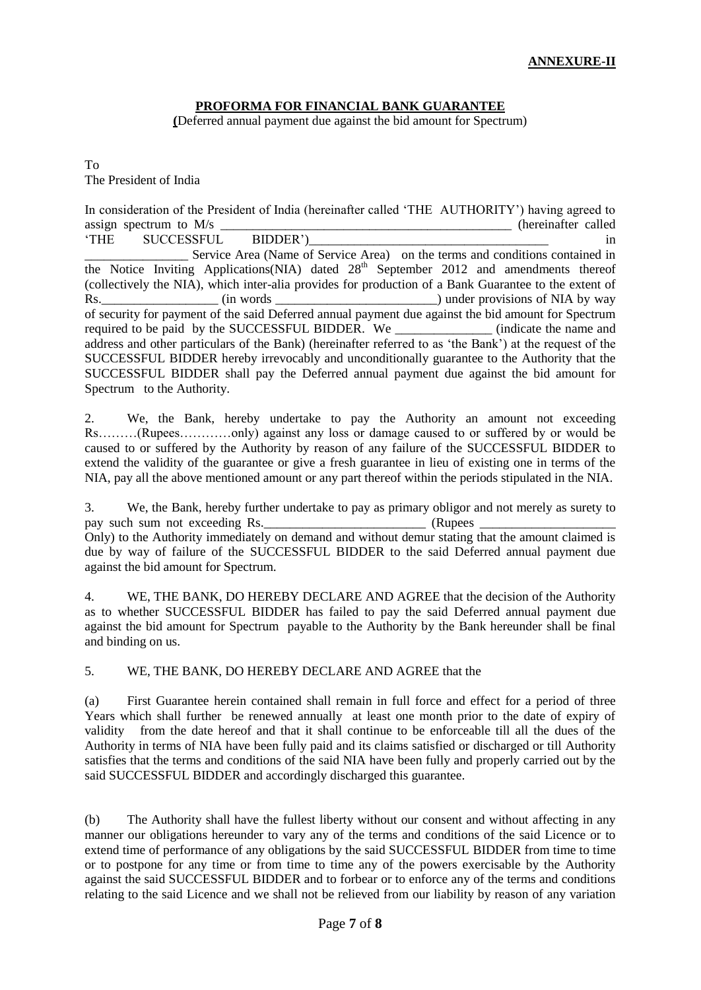#### **PROFORMA FOR FINANCIAL BANK GUARANTEE**

**(**Deferred annual payment due against the bid amount for Spectrum)

To The President of India

| In consideration of the President of India (hereinafter called 'THE AUTHORITY') having agreed to         |                     |
|----------------------------------------------------------------------------------------------------------|---------------------|
| assign spectrum to $M/s$ _______                                                                         | (hereinafter called |
| SUCCESSFUL BIDDER')<br><b>THE</b>                                                                        | 1n                  |
| Service Area (Name of Service Area) on the terms and conditions contained in                             |                     |
| the Notice Inviting Applications(NIA) dated 28 <sup>th</sup> September 2012 and amendments thereof       |                     |
| (collectively the NIA), which inter-alia provides for production of a Bank Guarantee to the extent of    |                     |
| Rs. ______________________(in words _______________________________) under provisions of NIA by way      |                     |
| of security for payment of the said Deferred annual payment due against the bid amount for Spectrum      |                     |
| required to be paid by the SUCCESSFUL BIDDER. We ______________ (indicate the name and                   |                     |
| address and other particulars of the Bank) (hereinafter referred to as 'the Bank') at the request of the |                     |
| SUCCESSFUL BIDDER hereby irrevocably and unconditionally guarantee to the Authority that the             |                     |
| SUCCESSFUL BIDDER shall pay the Deferred annual payment due against the bid amount for                   |                     |
| Spectrum to the Authority.                                                                               |                     |

2. We, the Bank, hereby undertake to pay the Authority an amount not exceeding Rs………(Rupees…………only) against any loss or damage caused to or suffered by or would be caused to or suffered by the Authority by reason of any failure of the SUCCESSFUL BIDDER to extend the validity of the guarantee or give a fresh guarantee in lieu of existing one in terms of the NIA, pay all the above mentioned amount or any part thereof within the periods stipulated in the NIA.

3. We, the Bank, hereby further undertake to pay as primary obligor and not merely as surety to pay such sum not exceeding Rs. pay such sum not exceeding Rs. Only) to the Authority immediately on demand and without demur stating that the amount claimed is due by way of failure of the SUCCESSFUL BIDDER to the said Deferred annual payment due against the bid amount for Spectrum.

4. WE, THE BANK, DO HEREBY DECLARE AND AGREE that the decision of the Authority as to whether SUCCESSFUL BIDDER has failed to pay the said Deferred annual payment due against the bid amount for Spectrum payable to the Authority by the Bank hereunder shall be final and binding on us.

5. WE, THE BANK, DO HEREBY DECLARE AND AGREE that the

(a) First Guarantee herein contained shall remain in full force and effect for a period of three Years which shall further be renewed annually at least one month prior to the date of expiry of validity from the date hereof and that it shall continue to be enforceable till all the dues of the Authority in terms of NIA have been fully paid and its claims satisfied or discharged or till Authority satisfies that the terms and conditions of the said NIA have been fully and properly carried out by the said SUCCESSFUL BIDDER and accordingly discharged this guarantee.

(b) The Authority shall have the fullest liberty without our consent and without affecting in any manner our obligations hereunder to vary any of the terms and conditions of the said Licence or to extend time of performance of any obligations by the said SUCCESSFUL BIDDER from time to time or to postpone for any time or from time to time any of the powers exercisable by the Authority against the said SUCCESSFUL BIDDER and to forbear or to enforce any of the terms and conditions relating to the said Licence and we shall not be relieved from our liability by reason of any variation